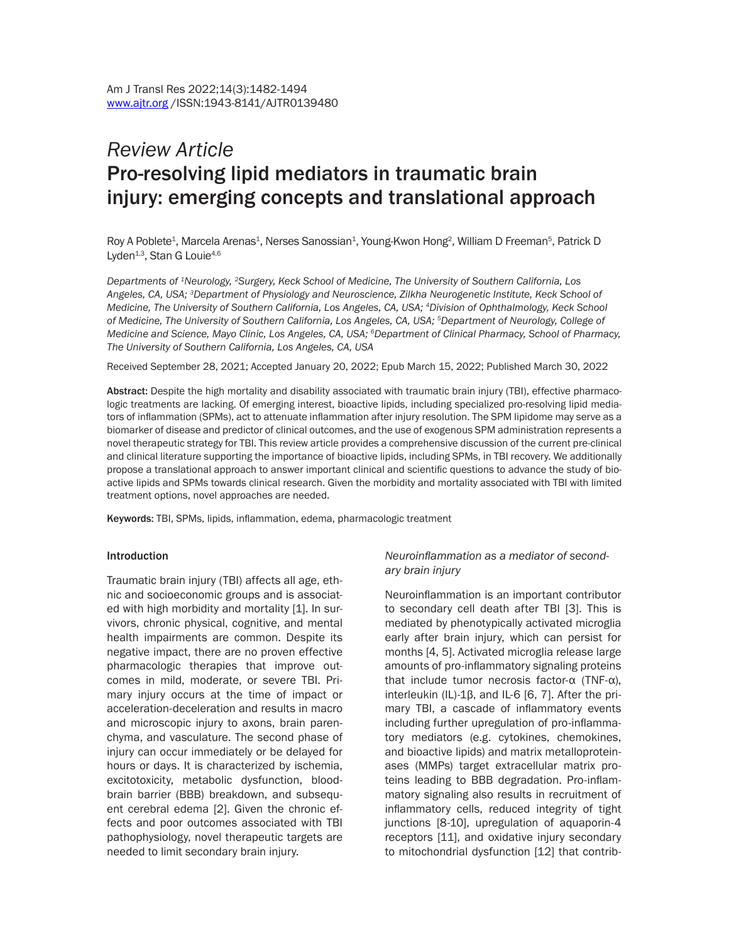# *Review Article* Pro-resolving lipid mediators in traumatic brain injury: emerging concepts and translational approach

Roy A Poblete<sup>1</sup>, Marcela Arenas<sup>1</sup>, Nerses Sanossian<sup>1</sup>, Young-Kwon Hong<sup>2</sup>, William D Freeman<sup>5</sup>, Patrick D Lyden<sup>1,3</sup>, Stan G Louie<sup>4,6</sup>

*Departments of 1Neurology, 2Surgery, Keck School of Medicine, The University of Southern California, Los Angeles, CA, USA; 3Department of Physiology and Neuroscience, Zilkha Neurogenetic Institute, Keck School of Medicine, The University of Southern California, Los Angeles, CA, USA; 4Division of Ophthalmology, Keck School of Medicine, The University of Southern California, Los Angeles, CA, USA; 5Department of Neurology, College of Medicine and Science, Mayo Clinic, Los Angeles, CA, USA; 6Department of Clinical Pharmacy, School of Pharmacy, The University of Southern California, Los Angeles, CA, USA*

Received September 28, 2021; Accepted January 20, 2022; Epub March 15, 2022; Published March 30, 2022

Abstract: Despite the high mortality and disability associated with traumatic brain injury (TBI), effective pharmacologic treatments are lacking. Of emerging interest, bioactive lipids, including specialized pro-resolving lipid mediators of inflammation (SPMs), act to attenuate inflammation after injury resolution. The SPM lipidome may serve as a biomarker of disease and predictor of clinical outcomes, and the use of exogenous SPM administration represents a novel therapeutic strategy for TBI. This review article provides a comprehensive discussion of the current pre-clinical and clinical literature supporting the importance of bioactive lipids, including SPMs, in TBI recovery. We additionally propose a translational approach to answer important clinical and scientific questions to advance the study of bioactive lipids and SPMs towards clinical research. Given the morbidity and mortality associated with TBI with limited treatment options, novel approaches are needed.

Keywords: TBI, SPMs, lipids, inflammation, edema, pharmacologic treatment

#### Introduction

Traumatic brain injury (TBI) affects all age, ethnic and socioeconomic groups and is associated with high morbidity and mortality [1]. In survivors, chronic physical, cognitive, and mental health impairments are common. Despite its negative impact, there are no proven effective pharmacologic therapies that improve outcomes in mild, moderate, or severe TBI. Primary injury occurs at the time of impact or acceleration-deceleration and results in macro and microscopic injury to axons, brain parenchyma, and vasculature. The second phase of injury can occur immediately or be delayed for hours or days. It is characterized by ischemia, excitotoxicity, metabolic dysfunction, bloodbrain barrier (BBB) breakdown, and subsequent cerebral edema [2]. Given the chronic effects and poor outcomes associated with TBI pathophysiology, novel therapeutic targets are needed to limit secondary brain injury.

#### *Neuroinflammation as a mediator of secondary brain injury*

Neuroinflammation is an important contributor to secondary cell death after TBI [3]. This is mediated by phenotypically activated microglia early after brain injury, which can persist for months [4, 5]. Activated microglia release large amounts of pro-inflammatory signaling proteins that include tumor necrosis factor-α (TNF-α), interleukin (IL)-1β, and IL-6 [6, 7]. After the primary TBI, a cascade of inflammatory events including further upregulation of pro-inflammatory mediators (e.g. cytokines, chemokines, and bioactive lipids) and matrix metalloproteinases (MMPs) target extracellular matrix proteins leading to BBB degradation. Pro-inflammatory signaling also results in recruitment of inflammatory cells, reduced integrity of tight junctions [8-10], upregulation of aquaporin-4 receptors [11], and oxidative injury secondary to mitochondrial dysfunction [12] that contrib-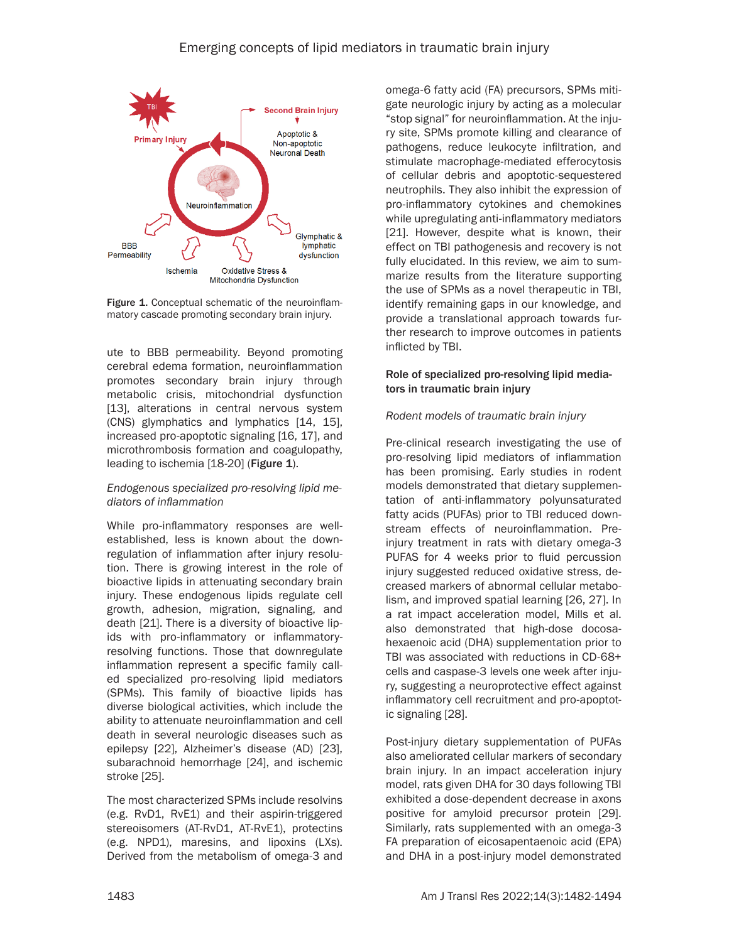

Figure 1. Conceptual schematic of the neuroinflammatory cascade promoting secondary brain injury.

ute to BBB permeability. Beyond promoting cerebral edema formation, neuroinflammation promotes secondary brain injury through metabolic crisis, mitochondrial dysfunction [13], alterations in central nervous system (CNS) glymphatics and lymphatics [14, 15], increased pro-apoptotic signaling [16, 17], and microthrombosis formation and coagulopathy, leading to ischemia [18-20] (Figure 1).

# *Endogenous specialized pro-resolving lipid mediators of inflammation*

While pro-inflammatory responses are wellestablished, less is known about the downregulation of inflammation after injury resolution. There is growing interest in the role of bioactive lipids in attenuating secondary brain injury. These endogenous lipids regulate cell growth, adhesion, migration, signaling, and death [21]. There is a diversity of bioactive lipids with pro-inflammatory or inflammatoryresolving functions. Those that downregulate inflammation represent a specific family called specialized pro-resolving lipid mediators (SPMs). This family of bioactive lipids has diverse biological activities, which include the ability to attenuate neuroinflammation and cell death in several neurologic diseases such as epilepsy [22], Alzheimer's disease (AD) [23], subarachnoid hemorrhage [24], and ischemic stroke [25].

The most characterized SPMs include resolvins (e.g. RvD1, RvE1) and their aspirin-triggered stereoisomers (AT-RvD1, AT-RvE1), protectins (e.g. NPD1), maresins, and lipoxins (LXs). Derived from the metabolism of omega-3 and omega-6 fatty acid (FA) precursors, SPMs mitigate neurologic injury by acting as a molecular "stop signal" for neuroinflammation. At the injury site, SPMs promote killing and clearance of pathogens, reduce leukocyte infiltration, and stimulate macrophage-mediated efferocytosis of cellular debris and apoptotic-sequestered neutrophils. They also inhibit the expression of pro-inflammatory cytokines and chemokines while upregulating anti-inflammatory mediators [21]. However, despite what is known, their effect on TBI pathogenesis and recovery is not fully elucidated. In this review, we aim to summarize results from the literature supporting the use of SPMs as a novel therapeutic in TBI, identify remaining gaps in our knowledge, and provide a translational approach towards further research to improve outcomes in patients inflicted by TBI.

# Role of specialized pro-resolving lipid mediators in traumatic brain injury

# *Rodent models of traumatic brain injury*

Pre-clinical research investigating the use of pro-resolving lipid mediators of inflammation has been promising. Early studies in rodent models demonstrated that dietary supplementation of anti-inflammatory polyunsaturated fatty acids (PUFAs) prior to TBI reduced downstream effects of neuroinflammation. Preinjury treatment in rats with dietary omega-3 PUFAS for 4 weeks prior to fluid percussion injury suggested reduced oxidative stress, decreased markers of abnormal cellular metabolism, and improved spatial learning [26, 27]. In a rat impact acceleration model, Mills et al. also demonstrated that high-dose docosahexaenoic acid (DHA) supplementation prior to TBI was associated with reductions in CD-68+ cells and caspase-3 levels one week after injury, suggesting a neuroprotective effect against inflammatory cell recruitment and pro-apoptotic signaling [28].

Post-injury dietary supplementation of PUFAs also ameliorated cellular markers of secondary brain injury. In an impact acceleration injury model, rats given DHA for 30 days following TBI exhibited a dose-dependent decrease in axons positive for amyloid precursor protein [29]. Similarly, rats supplemented with an omega-3 FA preparation of eicosapentaenoic acid (EPA) and DHA in a post-injury model demonstrated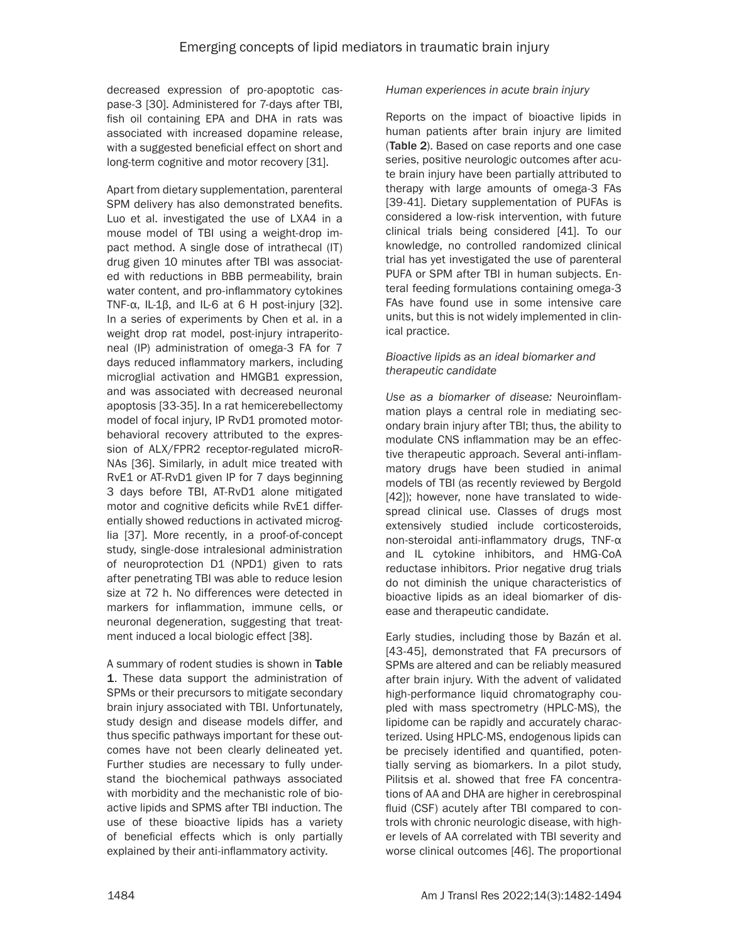decreased expression of pro-apoptotic caspase-3 [30]. Administered for 7-days after TBI, fish oil containing EPA and DHA in rats was associated with increased dopamine release, with a suggested beneficial effect on short and long-term cognitive and motor recovery [31].

Apart from dietary supplementation, parenteral SPM delivery has also demonstrated benefits. Luo et al. investigated the use of LXA4 in a mouse model of TBI using a weight-drop impact method. A single dose of intrathecal (IT) drug given 10 minutes after TBI was associated with reductions in BBB permeability, brain water content, and pro-inflammatory cytokines TNF- $\alpha$ , IL-1 $\beta$ , and IL-6 at 6 H post-injury [32]. In a series of experiments by Chen et al. in a weight drop rat model, post-injury intraperitoneal (IP) administration of omega-3 FA for 7 days reduced inflammatory markers, including microglial activation and HMGB1 expression, and was associated with decreased neuronal apoptosis [33-35]. In a rat hemicerebellectomy model of focal injury, IP RvD1 promoted motorbehavioral recovery attributed to the expression of ALX/FPR2 receptor-regulated microR-NAs [36]. Similarly, in adult mice treated with RvE1 or AT-RvD1 given IP for 7 days beginning 3 days before TBI, AT-RvD1 alone mitigated motor and cognitive deficits while RvE1 differentially showed reductions in activated microglia [37]. More recently, in a proof-of-concept study, single-dose intralesional administration of neuroprotection D1 (NPD1) given to rats after penetrating TBI was able to reduce lesion size at 72 h. No differences were detected in markers for inflammation, immune cells, or neuronal degeneration, suggesting that treatment induced a local biologic effect [38].

A summary of rodent studies is shown in Table 1. These data support the administration of SPMs or their precursors to mitigate secondary brain injury associated with TBI. Unfortunately, study design and disease models differ, and thus specific pathways important for these outcomes have not been clearly delineated yet. Further studies are necessary to fully understand the biochemical pathways associated with morbidity and the mechanistic role of bioactive lipids and SPMS after TBI induction. The use of these bioactive lipids has a variety of beneficial effects which is only partially explained by their anti-inflammatory activity.

# *Human experiences in acute brain injury*

Reports on the impact of bioactive lipids in human patients after brain injury are limited (Table 2). Based on case reports and one case series, positive neurologic outcomes after acute brain injury have been partially attributed to therapy with large amounts of omega-3 FAs [39-41]. Dietary supplementation of PUFAs is considered a low-risk intervention, with future clinical trials being considered [41]. To our knowledge, no controlled randomized clinical trial has yet investigated the use of parenteral PUFA or SPM after TBI in human subjects. Enteral feeding formulations containing omega-3 FAs have found use in some intensive care units, but this is not widely implemented in clinical practice.

# *Bioactive lipids as an ideal biomarker and therapeutic candidate*

*Use as a biomarker of disease:* Neuroinflammation plays a central role in mediating secondary brain injury after TBI; thus, the ability to modulate CNS inflammation may be an effective therapeutic approach. Several anti-inflammatory drugs have been studied in animal models of TBI (as recently reviewed by Bergold [42]); however, none have translated to widespread clinical use. Classes of drugs most extensively studied include corticosteroids, non-steroidal anti-inflammatory drugs, TNF-α and IL cytokine inhibitors, and HMG-CoA reductase inhibitors. Prior negative drug trials do not diminish the unique characteristics of bioactive lipids as an ideal biomarker of disease and therapeutic candidate.

Early studies, including those by Bazán et al. [43-45], demonstrated that FA precursors of SPMs are altered and can be reliably measured after brain injury. With the advent of validated high-performance liquid chromatography coupled with mass spectrometry (HPLC-MS), the lipidome can be rapidly and accurately characterized. Using HPLC-MS, endogenous lipids can be precisely identified and quantified, potentially serving as biomarkers. In a pilot study, Pilitsis et al. showed that free FA concentrations of AA and DHA are higher in cerebrospinal fluid (CSF) acutely after TBI compared to controls with chronic neurologic disease, with higher levels of AA correlated with TBI severity and worse clinical outcomes [46]. The proportional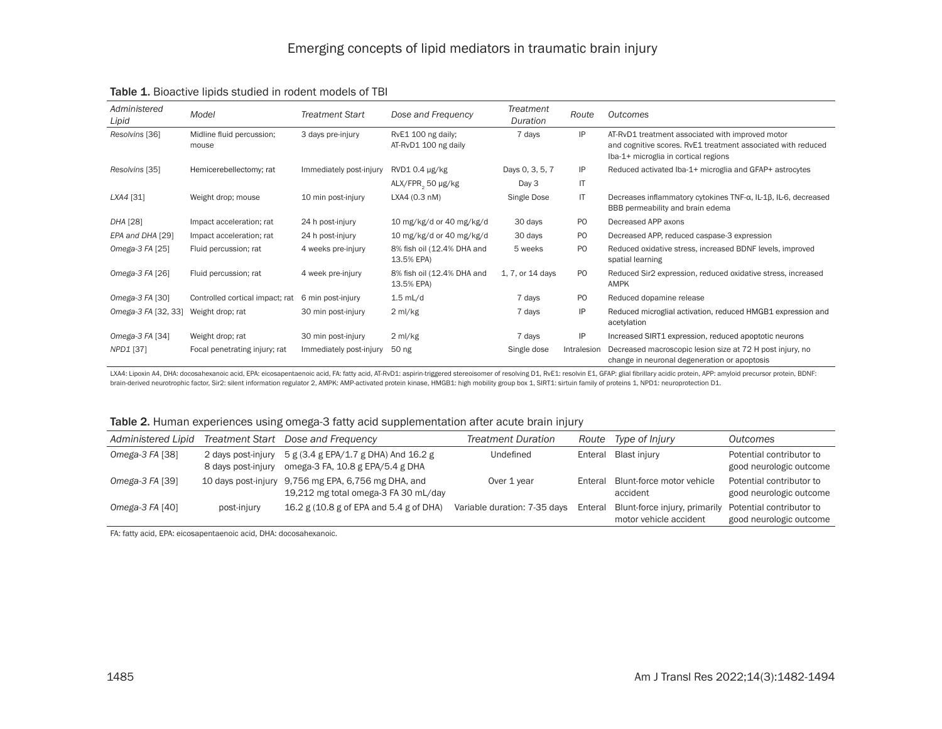| Administered<br>Lipid | Model                              | <b>Treatment Start</b>  | Dose and Frequency                         | Treatment<br>Duration | Route          | Outcomes                                                                                                                                                 |
|-----------------------|------------------------------------|-------------------------|--------------------------------------------|-----------------------|----------------|----------------------------------------------------------------------------------------------------------------------------------------------------------|
| Resolvins [36]        | Midline fluid percussion;<br>mouse | 3 days pre-injury       | RvE1 100 ng daily;<br>AT-RvD1 100 ng daily | 7 days                | IP             | AT-RvD1 treatment associated with improved motor<br>and cognitive scores. RvE1 treatment associated with reduced<br>Iba-1+ microglia in cortical regions |
| Resolvins [35]        | Hemicerebellectomy; rat            | Immediately post-injury | RVD10.4 µg/kg                              | Days 0, 3, 5, 7       | IP             | Reduced activated Iba-1+ microglia and GFAP+ astrocytes                                                                                                  |
|                       |                                    |                         | ALX/FPR, 50 µg/kg                          | Day 3                 | IT             |                                                                                                                                                          |
| LXA4 [31]             | Weight drop; mouse                 | 10 min post-injury      | LXA4 (0.3 nM)                              | Single Dose           | IT             | Decreases inflammatory cytokines $TNF-\alpha$ , IL-1 $\beta$ , IL-6, decreased<br>BBB permeability and brain edema                                       |
| DHA [28]              | Impact acceleration; rat           | 24 h post-injury        | 10 mg/kg/d or 40 mg/kg/d                   | 30 days               | P <sub>O</sub> | Decreased APP axons                                                                                                                                      |
| EPA and DHA [29]      | Impact acceleration; rat           | 24 h post-injury        | 10 mg/kg/d or 40 mg/kg/d                   | 30 days               | P <sub>O</sub> | Decreased APP, reduced caspase-3 expression                                                                                                              |
| Omega-3 FA [25]       | Fluid percussion; rat              | 4 weeks pre-injury      | 8% fish oil (12.4% DHA and<br>13.5% EPA)   | 5 weeks               | P <sub>O</sub> | Reduced oxidative stress, increased BDNF levels, improved<br>spatial learning                                                                            |
| Omega-3 FA [26]       | Fluid percussion; rat              | 4 week pre-injury       | 8% fish oil (12.4% DHA and<br>13.5% EPA)   | 1, 7, or 14 days      | P <sub>O</sub> | Reduced Sir2 expression, reduced oxidative stress, increased<br>AMPK                                                                                     |
| Omega-3 FA [30]       | Controlled cortical impact; rat    | 6 min post-injury       | $1.5$ mL/d                                 | 7 days                | P <sub>O</sub> | Reduced dopamine release                                                                                                                                 |
| Omega-3 FA [32, 33]   | Weight drop; rat                   | 30 min post-injury      | $2 \text{ ml/kg}$                          | 7 days                | IP             | Reduced microglial activation, reduced HMGB1 expression and<br>acetylation                                                                               |
| Omega-3 FA [34]       | Weight drop; rat                   | 30 min post-injury      | $2 \text{ ml/kg}$                          | 7 days                | IP             | Increased SIRT1 expression, reduced apoptotic neurons                                                                                                    |
| NPD1 [37]             | Focal penetrating injury; rat      | Immediately post-injury | 50 ng                                      | Single dose           | Intralesion    | Decreased macroscopic lesion size at 72 H post injury, no<br>change in neuronal degeneration or apoptosis                                                |

#### Table 1. Bioactive lipids studied in rodent models of TBI

LXA4: Lipoxin A4, DHA: docosahexanoic acid, EPA: eicosapentaenoic acid, FA: fatty acid, AT-RvD1: aspirin-triggered stereoisomer of resolving D1, RvE1: resolvin E1, GFAP: glial fibrillary acidic protein, APP: amyloid precur brain-derived neurotrophic factor, Sir2: silent information regulator 2, AMPK: AMP-activated protein kinase, HMGB1: high mobility group box 1, SIRT1: sirtuin family of proteins 1, NPD1: neuroprotection D1.

| Table 2. Human experiences using omega-3 fatty acid supplementation after acute brain injury |  |
|----------------------------------------------------------------------------------------------|--|
|----------------------------------------------------------------------------------------------|--|

| Administered Lipid |                                          | Treatment Start Dose and Frequency                                                          | <b>Treatment Duration</b>    |         | Route Type of Injury                                            | Outcomes                                            |
|--------------------|------------------------------------------|---------------------------------------------------------------------------------------------|------------------------------|---------|-----------------------------------------------------------------|-----------------------------------------------------|
| Omega-3 $FA$ [38]  | 2 days post-injury<br>8 days post-injury | 5 g (3.4 g EPA/1.7 g DHA) And 16.2 g<br>omega-3 FA, 10.8 g EPA/5.4 g DHA                    | Undefined                    |         | Enteral Blast injury                                            | Potential contributor to<br>good neurologic outcome |
| Omega-3 FA [39]    |                                          | 10 days post-injury 9,756 mg EPA, 6,756 mg DHA, and<br>19,212 mg total omega-3 FA 30 mL/day | Over 1 year                  | Enteral | Blunt-force motor vehicle<br>accident                           | Potential contributor to<br>good neurologic outcome |
| Omega-3 $FA$ [40]  | post-injury                              | 16.2 g (10.8 g of EPA and 5.4 g of DHA)                                                     | Variable duration: 7-35 days |         | Enteral Blunt-force injury, primarily<br>motor vehicle accident | Potential contributor to<br>good neurologic outcome |

FA: fatty acid, EPA: eicosapentaenoic acid, DHA: docosahexanoic.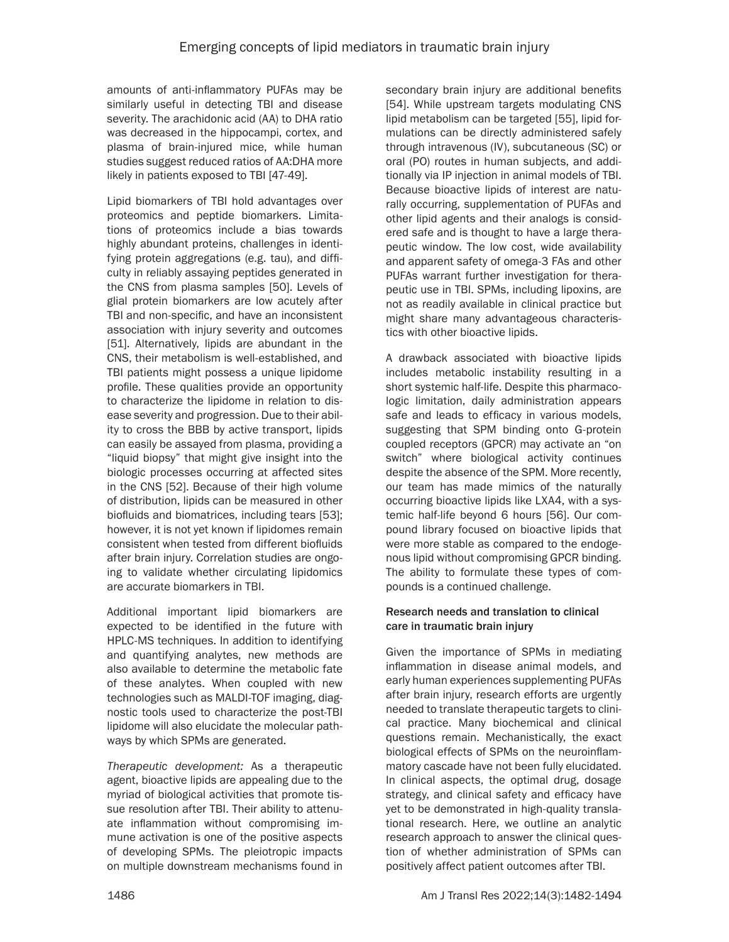amounts of anti-inflammatory PUFAs may be similarly useful in detecting TBI and disease severity. The arachidonic acid (AA) to DHA ratio was decreased in the hippocampi, cortex, and plasma of brain-injured mice, while human studies suggest reduced ratios of AA:DHA more likely in patients exposed to TBI [47-49].

Lipid biomarkers of TBI hold advantages over proteomics and peptide biomarkers. Limitations of proteomics include a bias towards highly abundant proteins, challenges in identifying protein aggregations (e.g. tau), and difficulty in reliably assaying peptides generated in the CNS from plasma samples [50]. Levels of glial protein biomarkers are low acutely after TBI and non-specific, and have an inconsistent association with injury severity and outcomes [51]. Alternatively, lipids are abundant in the CNS, their metabolism is well-established, and TBI patients might possess a unique lipidome profile. These qualities provide an opportunity to characterize the lipidome in relation to disease severity and progression. Due to their ability to cross the BBB by active transport, lipids can easily be assayed from plasma, providing a "liquid biopsy" that might give insight into the biologic processes occurring at affected sites in the CNS [52]. Because of their high volume of distribution, lipids can be measured in other biofluids and biomatrices, including tears [53]; however, it is not yet known if lipidomes remain consistent when tested from different biofluids after brain injury. Correlation studies are ongoing to validate whether circulating lipidomics are accurate biomarkers in TBI.

Additional important lipid biomarkers are expected to be identified in the future with HPLC-MS techniques. In addition to identifying and quantifying analytes, new methods are also available to determine the metabolic fate of these analytes. When coupled with new technologies such as MALDI-TOF imaging, diagnostic tools used to characterize the post-TBI lipidome will also elucidate the molecular pathways by which SPMs are generated.

*Therapeutic development:* As a therapeutic agent, bioactive lipids are appealing due to the myriad of biological activities that promote tissue resolution after TBI. Their ability to attenuate inflammation without compromising immune activation is one of the positive aspects of developing SPMs. The pleiotropic impacts on multiple downstream mechanisms found in secondary brain injury are additional benefits [54]. While upstream targets modulating CNS lipid metabolism can be targeted [55], lipid formulations can be directly administered safely through intravenous (IV), subcutaneous (SC) or oral (PO) routes in human subjects, and additionally via IP injection in animal models of TBI. Because bioactive lipids of interest are naturally occurring, supplementation of PUFAs and other lipid agents and their analogs is considered safe and is thought to have a large therapeutic window. The low cost, wide availability and apparent safety of omega-3 FAs and other PUFAs warrant further investigation for therapeutic use in TBI. SPMs, including lipoxins, are not as readily available in clinical practice but might share many advantageous characteristics with other bioactive lipids.

A drawback associated with bioactive lipids includes metabolic instability resulting in a short systemic half-life. Despite this pharmacologic limitation, daily administration appears safe and leads to efficacy in various models, suggesting that SPM binding onto G-protein coupled receptors (GPCR) may activate an "on switch" where biological activity continues despite the absence of the SPM. More recently, our team has made mimics of the naturally occurring bioactive lipids like LXA4, with a systemic half-life beyond 6 hours [56]. Our compound library focused on bioactive lipids that were more stable as compared to the endogenous lipid without compromising GPCR binding. The ability to formulate these types of compounds is a continued challenge.

# Research needs and translation to clinical care in traumatic brain injury

Given the importance of SPMs in mediating inflammation in disease animal models, and early human experiences supplementing PUFAs after brain injury, research efforts are urgently needed to translate therapeutic targets to clinical practice. Many biochemical and clinical questions remain. Mechanistically, the exact biological effects of SPMs on the neuroinflammatory cascade have not been fully elucidated. In clinical aspects, the optimal drug, dosage strategy, and clinical safety and efficacy have yet to be demonstrated in high-quality translational research. Here, we outline an analytic research approach to answer the clinical question of whether administration of SPMs can positively affect patient outcomes after TBI.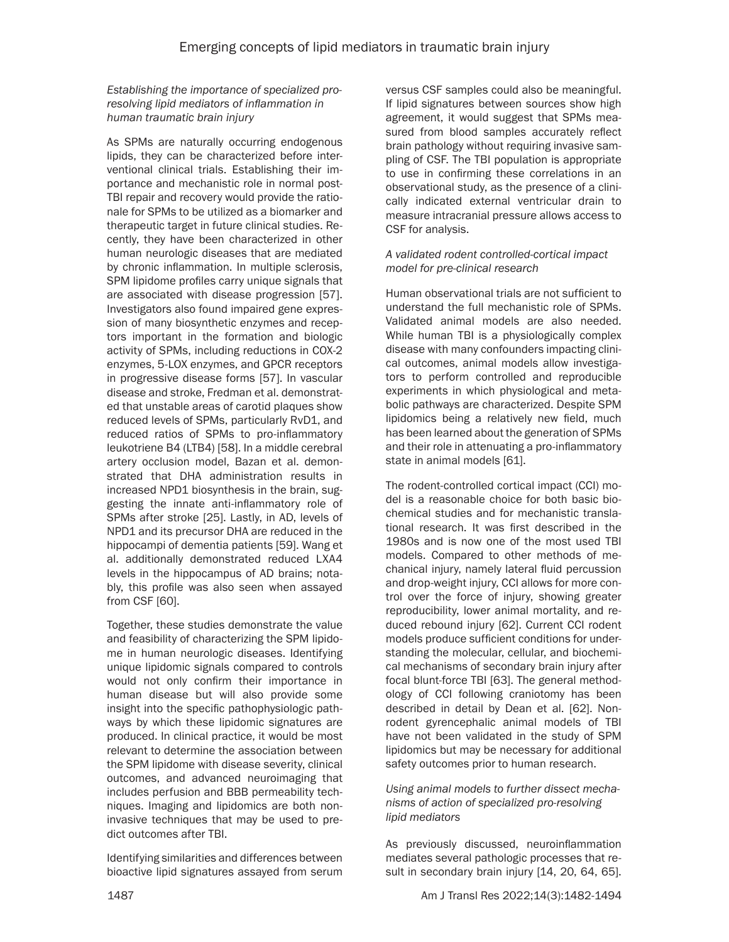# *Establishing the importance of specialized proresolving lipid mediators of inflammation in human traumatic brain injury*

As SPMs are naturally occurring endogenous lipids, they can be characterized before interventional clinical trials. Establishing their importance and mechanistic role in normal post-TBI repair and recovery would provide the rationale for SPMs to be utilized as a biomarker and therapeutic target in future clinical studies. Recently, they have been characterized in other human neurologic diseases that are mediated by chronic inflammation. In multiple sclerosis, SPM lipidome profiles carry unique signals that are associated with disease progression [57]. Investigators also found impaired gene expression of many biosynthetic enzymes and receptors important in the formation and biologic activity of SPMs, including reductions in COX-2 enzymes, 5-LOX enzymes, and GPCR receptors in progressive disease forms [57]. In vascular disease and stroke, Fredman et al. demonstrated that unstable areas of carotid plaques show reduced levels of SPMs, particularly RvD1, and reduced ratios of SPMs to pro-inflammatory leukotriene B4 (LTB4) [58]. In a middle cerebral artery occlusion model, Bazan et al. demonstrated that DHA administration results in increased NPD1 biosynthesis in the brain, suggesting the innate anti-inflammatory role of SPMs after stroke [25]. Lastly, in AD, levels of NPD1 and its precursor DHA are reduced in the hippocampi of dementia patients [59]. Wang et al. additionally demonstrated reduced LXA4 levels in the hippocampus of AD brains; notably, this profile was also seen when assayed from CSF [60].

Together, these studies demonstrate the value and feasibility of characterizing the SPM lipidome in human neurologic diseases. Identifying unique lipidomic signals compared to controls would not only confirm their importance in human disease but will also provide some insight into the specific pathophysiologic pathways by which these lipidomic signatures are produced. In clinical practice, it would be most relevant to determine the association between the SPM lipidome with disease severity, clinical outcomes, and advanced neuroimaging that includes perfusion and BBB permeability techniques. Imaging and lipidomics are both noninvasive techniques that may be used to predict outcomes after TBI.

Identifying similarities and differences between bioactive lipid signatures assayed from serum versus CSF samples could also be meaningful. If lipid signatures between sources show high agreement, it would suggest that SPMs measured from blood samples accurately reflect brain pathology without requiring invasive sampling of CSF. The TBI population is appropriate to use in confirming these correlations in an observational study, as the presence of a clinically indicated external ventricular drain to measure intracranial pressure allows access to CSF for analysis.

#### *A validated rodent controlled-cortical impact model for pre-clinical research*

Human observational trials are not sufficient to understand the full mechanistic role of SPMs. Validated animal models are also needed. While human TBI is a physiologically complex disease with many confounders impacting clinical outcomes, animal models allow investigators to perform controlled and reproducible experiments in which physiological and metabolic pathways are characterized. Despite SPM lipidomics being a relatively new field, much has been learned about the generation of SPMs and their role in attenuating a pro-inflammatory state in animal models [61].

The rodent-controlled cortical impact (CCI) model is a reasonable choice for both basic biochemical studies and for mechanistic translational research. It was first described in the 1980s and is now one of the most used TBI models. Compared to other methods of mechanical injury, namely lateral fluid percussion and drop-weight injury, CCI allows for more control over the force of injury, showing greater reproducibility, lower animal mortality, and reduced rebound injury [62]. Current CCI rodent models produce sufficient conditions for understanding the molecular, cellular, and biochemical mechanisms of secondary brain injury after focal blunt-force TBI [63]. The general methodology of CCI following craniotomy has been described in detail by Dean et al. [62]. Nonrodent gyrencephalic animal models of TBI have not been validated in the study of SPM lipidomics but may be necessary for additional safety outcomes prior to human research.

*Using animal models to further dissect mechanisms of action of specialized pro-resolving lipid mediators*

As previously discussed, neuroinflammation mediates several pathologic processes that result in secondary brain injury [14, 20, 64, 65].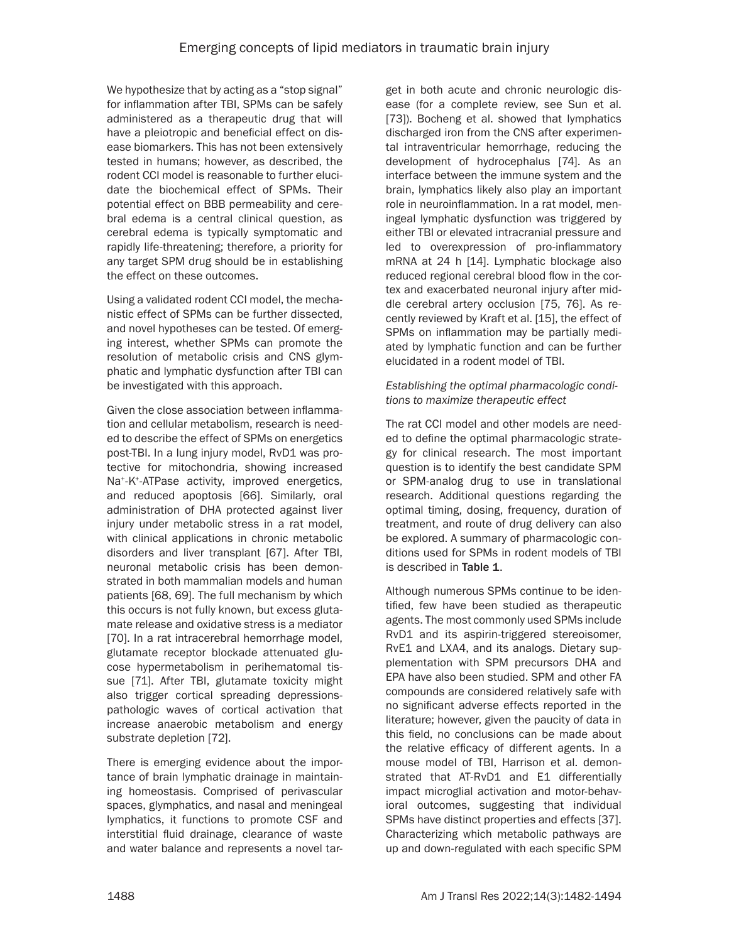We hypothesize that by acting as a "stop signal" for inflammation after TBI, SPMs can be safely administered as a therapeutic drug that will have a pleiotropic and beneficial effect on disease biomarkers. This has not been extensively tested in humans; however, as described, the rodent CCI model is reasonable to further elucidate the biochemical effect of SPMs. Their potential effect on BBB permeability and cerebral edema is a central clinical question, as cerebral edema is typically symptomatic and rapidly life-threatening; therefore, a priority for any target SPM drug should be in establishing the effect on these outcomes.

Using a validated rodent CCI model, the mechanistic effect of SPMs can be further dissected, and novel hypotheses can be tested. Of emerging interest, whether SPMs can promote the resolution of metabolic crisis and CNS glymphatic and lymphatic dysfunction after TBI can be investigated with this approach.

Given the close association between inflammation and cellular metabolism, research is needed to describe the effect of SPMs on energetics post-TBI. In a lung injury model, RvD1 was protective for mitochondria, showing increased Na<sup>+</sup>-K<sup>+</sup>-ATPase activity, improved energetics, and reduced apoptosis [66]. Similarly, oral administration of DHA protected against liver injury under metabolic stress in a rat model, with clinical applications in chronic metabolic disorders and liver transplant [67]. After TBI, neuronal metabolic crisis has been demonstrated in both mammalian models and human patients [68, 69]. The full mechanism by which this occurs is not fully known, but excess glutamate release and oxidative stress is a mediator [70]. In a rat intracerebral hemorrhage model, glutamate receptor blockade attenuated glucose hypermetabolism in perihematomal tissue [71]. After TBI, glutamate toxicity might also trigger cortical spreading depressionspathologic waves of cortical activation that increase anaerobic metabolism and energy substrate depletion [72].

There is emerging evidence about the importance of brain lymphatic drainage in maintaining homeostasis. Comprised of perivascular spaces, glymphatics, and nasal and meningeal lymphatics, it functions to promote CSF and interstitial fluid drainage, clearance of waste and water balance and represents a novel tar-

get in both acute and chronic neurologic disease (for a complete review, see Sun et al. [73]). Bocheng et al. showed that lymphatics discharged iron from the CNS after experimental intraventricular hemorrhage, reducing the development of hydrocephalus [74]. As an interface between the immune system and the brain, lymphatics likely also play an important role in neuroinflammation. In a rat model, meningeal lymphatic dysfunction was triggered by either TBI or elevated intracranial pressure and led to overexpression of pro-inflammatory mRNA at 24 h [14]. Lymphatic blockage also reduced regional cerebral blood flow in the cortex and exacerbated neuronal injury after middle cerebral artery occlusion [75, 76]. As recently reviewed by Kraft et al. [15], the effect of SPMs on inflammation may be partially mediated by lymphatic function and can be further elucidated in a rodent model of TBI.

# *Establishing the optimal pharmacologic conditions to maximize therapeutic effect*

The rat CCI model and other models are needed to define the optimal pharmacologic strategy for clinical research. The most important question is to identify the best candidate SPM or SPM-analog drug to use in translational research. Additional questions regarding the optimal timing, dosing, frequency, duration of treatment, and route of drug delivery can also be explored. A summary of pharmacologic conditions used for SPMs in rodent models of TBI is described in Table 1.

Although numerous SPMs continue to be identified, few have been studied as therapeutic agents. The most commonly used SPMs include RvD1 and its aspirin-triggered stereoisomer, RvE1 and LXA4, and its analogs. Dietary supplementation with SPM precursors DHA and EPA have also been studied. SPM and other FA compounds are considered relatively safe with no significant adverse effects reported in the literature; however, given the paucity of data in this field, no conclusions can be made about the relative efficacy of different agents. In a mouse model of TBI, Harrison et al. demonstrated that AT-RvD1 and E1 differentially impact microglial activation and motor-behavioral outcomes, suggesting that individual SPMs have distinct properties and effects [37]. Characterizing which metabolic pathways are up and down-regulated with each specific SPM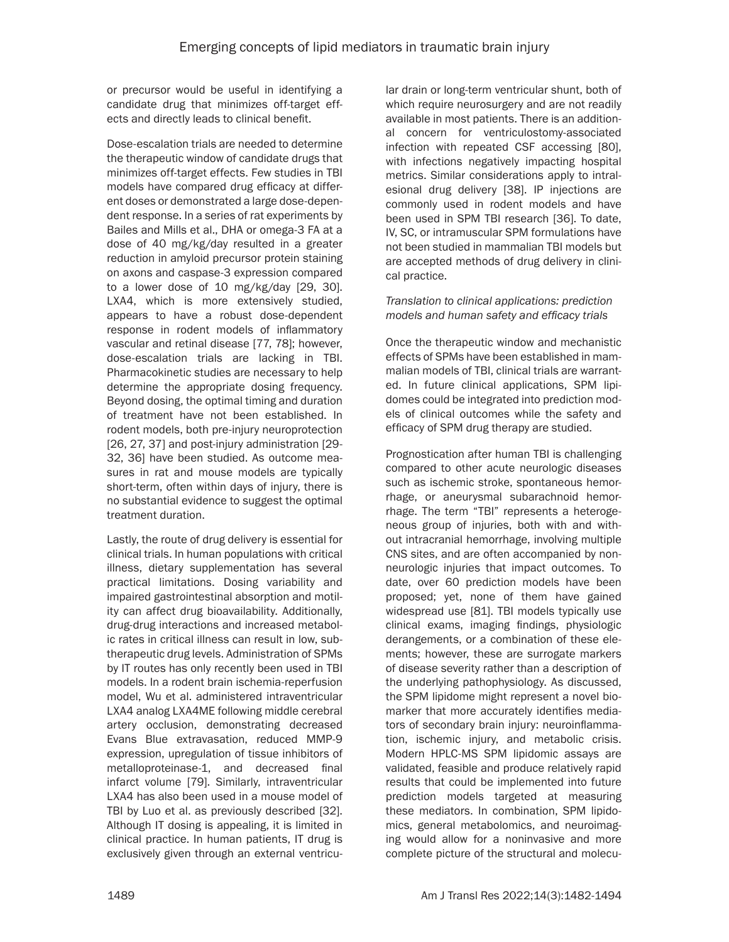or precursor would be useful in identifying a candidate drug that minimizes off-target effects and directly leads to clinical benefit.

Dose-escalation trials are needed to determine the therapeutic window of candidate drugs that minimizes off-target effects. Few studies in TBI models have compared drug efficacy at different doses or demonstrated a large dose-dependent response. In a series of rat experiments by Bailes and Mills et al., DHA or omega-3 FA at a dose of 40 mg/kg/day resulted in a greater reduction in amyloid precursor protein staining on axons and caspase-3 expression compared to a lower dose of 10 mg/kg/day [29, 30]. LXA4, which is more extensively studied, appears to have a robust dose-dependent response in rodent models of inflammatory vascular and retinal disease [77, 78]; however, dose-escalation trials are lacking in TBI. Pharmacokinetic studies are necessary to help determine the appropriate dosing frequency. Beyond dosing, the optimal timing and duration of treatment have not been established. In rodent models, both pre-injury neuroprotection [26, 27, 37] and post-injury administration [29- 32, 36] have been studied. As outcome measures in rat and mouse models are typically short-term, often within days of injury, there is no substantial evidence to suggest the optimal treatment duration.

Lastly, the route of drug delivery is essential for clinical trials. In human populations with critical illness, dietary supplementation has several practical limitations. Dosing variability and impaired gastrointestinal absorption and motility can affect drug bioavailability. Additionally, drug-drug interactions and increased metabolic rates in critical illness can result in low, subtherapeutic drug levels. Administration of SPMs by IT routes has only recently been used in TBI models. In a rodent brain ischemia-reperfusion model, Wu et al. administered intraventricular LXA4 analog LXA4ME following middle cerebral artery occlusion, demonstrating decreased Evans Blue extravasation, reduced MMP-9 expression, upregulation of tissue inhibitors of metalloproteinase-1, and decreased final infarct volume [79]. Similarly, intraventricular LXA4 has also been used in a mouse model of TBI by Luo et al. as previously described [32]. Although IT dosing is appealing, it is limited in clinical practice. In human patients, IT drug is exclusively given through an external ventricular drain or long-term ventricular shunt, both of which require neurosurgery and are not readily available in most patients. There is an additional concern for ventriculostomy-associated infection with repeated CSF accessing [80], with infections negatively impacting hospital metrics. Similar considerations apply to intralesional drug delivery [38]. IP injections are commonly used in rodent models and have been used in SPM TBI research [36]. To date, IV, SC, or intramuscular SPM formulations have not been studied in mammalian TBI models but are accepted methods of drug delivery in clinical practice.

# *Translation to clinical applications: prediction models and human safety and efficacy trials*

Once the therapeutic window and mechanistic effects of SPMs have been established in mammalian models of TBI, clinical trials are warranted. In future clinical applications, SPM lipidomes could be integrated into prediction models of clinical outcomes while the safety and efficacy of SPM drug therapy are studied.

Prognostication after human TBI is challenging compared to other acute neurologic diseases such as ischemic stroke, spontaneous hemorrhage, or aneurysmal subarachnoid hemorrhage. The term "TBI" represents a heterogeneous group of injuries, both with and without intracranial hemorrhage, involving multiple CNS sites, and are often accompanied by nonneurologic injuries that impact outcomes. To date, over 60 prediction models have been proposed; yet, none of them have gained widespread use [81]. TBI models typically use clinical exams, imaging findings, physiologic derangements, or a combination of these elements; however, these are surrogate markers of disease severity rather than a description of the underlying pathophysiology. As discussed, the SPM lipidome might represent a novel biomarker that more accurately identifies mediators of secondary brain injury: neuroinflammation, ischemic injury, and metabolic crisis. Modern HPLC-MS SPM lipidomic assays are validated, feasible and produce relatively rapid results that could be implemented into future prediction models targeted at measuring these mediators. In combination, SPM lipidomics, general metabolomics, and neuroimaging would allow for a noninvasive and more complete picture of the structural and molecu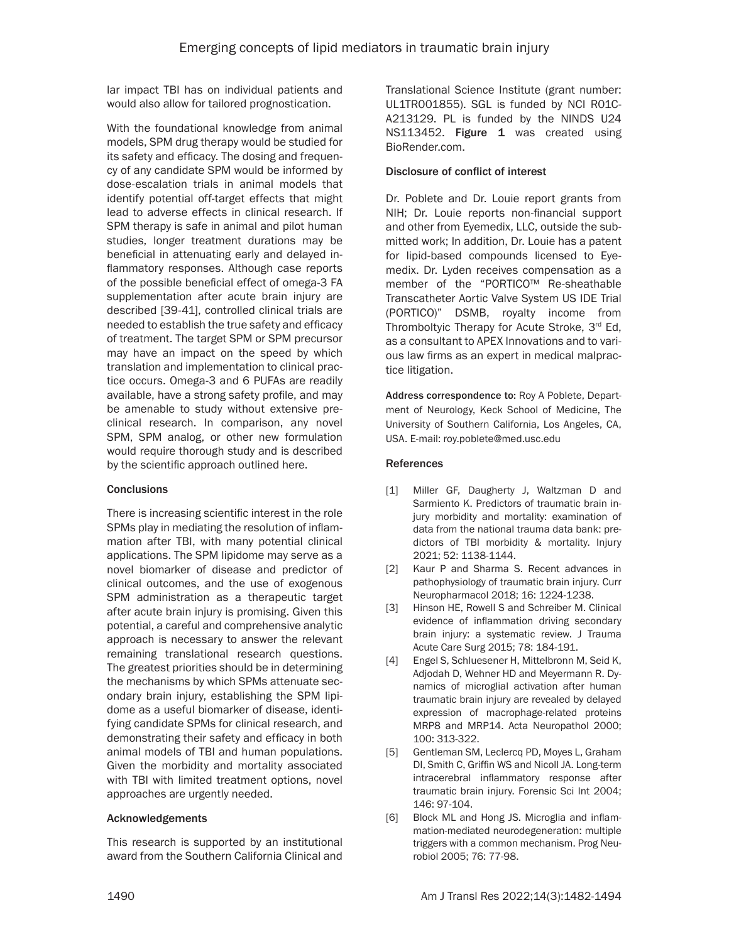lar impact TBI has on individual patients and would also allow for tailored prognostication.

With the foundational knowledge from animal models, SPM drug therapy would be studied for its safety and efficacy. The dosing and frequency of any candidate SPM would be informed by dose-escalation trials in animal models that identify potential off-target effects that might lead to adverse effects in clinical research. If SPM therapy is safe in animal and pilot human studies, longer treatment durations may be beneficial in attenuating early and delayed inflammatory responses. Although case reports of the possible beneficial effect of omega-3 FA supplementation after acute brain injury are described [39-41], controlled clinical trials are needed to establish the true safety and efficacy of treatment. The target SPM or SPM precursor may have an impact on the speed by which translation and implementation to clinical practice occurs. Omega-3 and 6 PUFAs are readily available, have a strong safety profile, and may be amenable to study without extensive preclinical research. In comparison, any novel SPM, SPM analog, or other new formulation would require thorough study and is described by the scientific approach outlined here.

#### **Conclusions**

There is increasing scientific interest in the role SPMs play in mediating the resolution of inflammation after TBI, with many potential clinical applications. The SPM lipidome may serve as a novel biomarker of disease and predictor of clinical outcomes, and the use of exogenous SPM administration as a therapeutic target after acute brain injury is promising. Given this potential, a careful and comprehensive analytic approach is necessary to answer the relevant remaining translational research questions. The greatest priorities should be in determining the mechanisms by which SPMs attenuate secondary brain injury, establishing the SPM lipidome as a useful biomarker of disease, identifying candidate SPMs for clinical research, and demonstrating their safety and efficacy in both animal models of TBI and human populations. Given the morbidity and mortality associated with TBI with limited treatment options, novel approaches are urgently needed.

#### Acknowledgements

This research is supported by an institutional award from the Southern California Clinical and Translational Science Institute (grant number: UL1TR001855). SGL is funded by NCI R01C-A213129. PL is funded by the NINDS U24 NS113452. Figure 1 was created using BioRender.com.

#### Disclosure of conflict of interest

Dr. Poblete and Dr. Louie report grants from NIH; Dr. Louie reports non-financial support and other from Eyemedix, LLC, outside the submitted work; In addition, Dr. Louie has a patent for lipid-based compounds licensed to Eyemedix. Dr. Lyden receives compensation as a member of the "PORTICO™ Re-sheathable Transcatheter Aortic Valve System US IDE Trial (PORTICO)" DSMB, royalty income from Thromboltyic Therapy for Acute Stroke, 3rd Ed, as a consultant to APEX Innovations and to various law firms as an expert in medical malpractice litigation.

Address correspondence to: Roy A Poblete, Department of Neurology, Keck School of Medicine, The University of Southern California, Los Angeles, CA, USA. E-mail: roy.poblete@med.usc.edu

#### **References**

- [1] Miller GF, Daugherty J, Waltzman D and Sarmiento K. Predictors of traumatic brain injury morbidity and mortality: examination of data from the national trauma data bank: predictors of TBI morbidity & mortality. Injury 2021; 52: 1138-1144.
- [2] Kaur P and Sharma S. Recent advances in pathophysiology of traumatic brain injury. Curr Neuropharmacol 2018; 16: 1224-1238.
- [3] Hinson HE, Rowell S and Schreiber M. Clinical evidence of inflammation driving secondary brain injury: a systematic review. J Trauma Acute Care Surg 2015; 78: 184-191.
- [4] Engel S, Schluesener H, Mittelbronn M, Seid K, Adjodah D, Wehner HD and Meyermann R. Dynamics of microglial activation after human traumatic brain injury are revealed by delayed expression of macrophage-related proteins MRP8 and MRP14. Acta Neuropathol 2000; 100: 313-322.
- [5] Gentleman SM, Leclercq PD, Moyes L, Graham DI, Smith C, Griffin WS and Nicoll JA. Long-term intracerebral inflammatory response after traumatic brain injury. Forensic Sci Int 2004; 146: 97-104.
- [6] Block ML and Hong JS. Microglia and inflammation-mediated neurodegeneration: multiple triggers with a common mechanism. Prog Neurobiol 2005; 76: 77-98.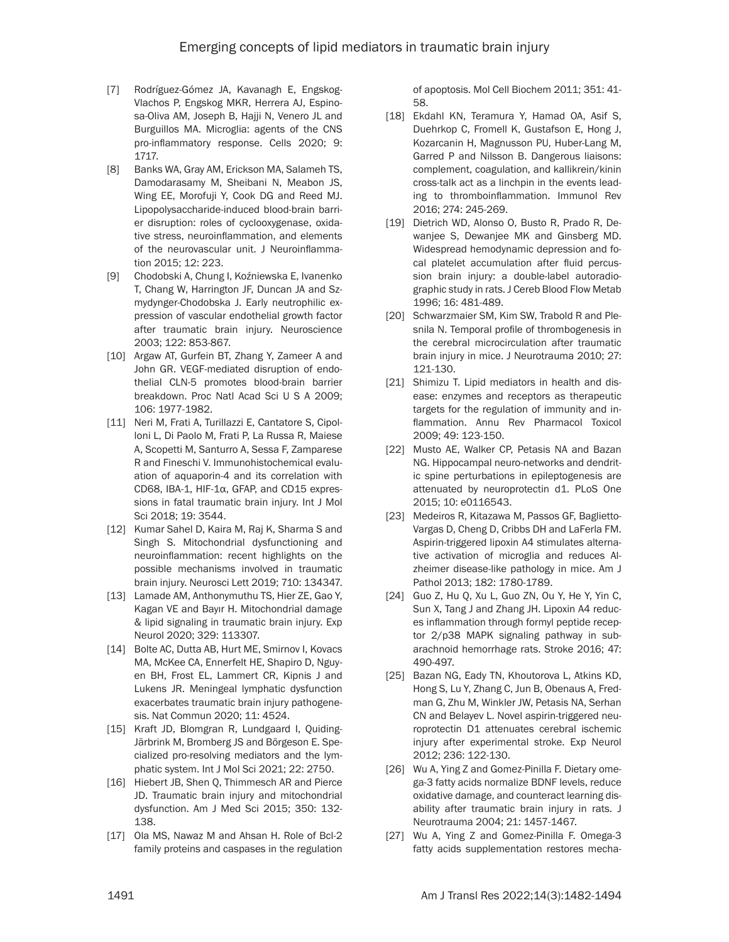- [7] Rodríguez-Gómez JA, Kavanagh E, Engskog-Vlachos P, Engskog MKR, Herrera AJ, Espinosa-Oliva AM, Joseph B, Hajji N, Venero JL and Burguillos MA. Microglia: agents of the CNS pro-inflammatory response. Cells 2020; 9: 1717.
- [8] Banks WA, Gray AM, Erickson MA, Salameh TS, Damodarasamy M, Sheibani N, Meabon JS, Wing EE, Morofuji Y, Cook DG and Reed MJ. Lipopolysaccharide-induced blood-brain barrier disruption: roles of cyclooxygenase, oxidative stress, neuroinflammation, and elements of the neurovascular unit. J Neuroinflammation 2015; 12: 223.
- [9] Chodobski A, Chung I, Koźniewska E, Ivanenko T, Chang W, Harrington JF, Duncan JA and Szmydynger-Chodobska J. Early neutrophilic expression of vascular endothelial growth factor after traumatic brain injury. Neuroscience 2003; 122: 853-867.
- [10] Argaw AT, Gurfein BT, Zhang Y, Zameer A and John GR. VEGF-mediated disruption of endothelial CLN-5 promotes blood-brain barrier breakdown. Proc Natl Acad Sci U S A 2009; 106: 1977-1982.
- [11] Neri M, Frati A, Turillazzi E, Cantatore S, Cipolloni L, Di Paolo M, Frati P, La Russa R, Maiese A, Scopetti M, Santurro A, Sessa F, Zamparese R and Fineschi V. Immunohistochemical evaluation of aquaporin-4 and its correlation with CD68, IBA-1, HIF-1α, GFAP, and CD15 expressions in fatal traumatic brain injury. Int J Mol Sci 2018; 19: 3544.
- [12] Kumar Sahel D, Kaira M, Raj K, Sharma S and Singh S. Mitochondrial dysfunctioning and neuroinflammation: recent highlights on the possible mechanisms involved in traumatic brain injury. Neurosci Lett 2019; 710: 134347.
- [13] Lamade AM, Anthonymuthu TS, Hier ZE, Gao Y, Kagan VE and Bayır H. Mitochondrial damage & lipid signaling in traumatic brain injury. Exp Neurol 2020; 329: 113307.
- [14] Bolte AC, Dutta AB, Hurt ME, Smirnov I, Kovacs MA, McKee CA, Ennerfelt HE, Shapiro D, Nguyen BH, Frost EL, Lammert CR, Kipnis J and Lukens JR. Meningeal lymphatic dysfunction exacerbates traumatic brain injury pathogenesis. Nat Commun 2020; 11: 4524.
- [15] Kraft JD, Blomgran R, Lundgaard I, Quiding-Järbrink M, Bromberg JS and Börgeson E. Specialized pro-resolving mediators and the lymphatic system. Int J Mol Sci 2021; 22: 2750.
- [16] Hiebert JB, Shen Q, Thimmesch AR and Pierce JD. Traumatic brain injury and mitochondrial dysfunction. Am J Med Sci 2015; 350: 132- 138.
- [17] Ola MS, Nawaz M and Ahsan H. Role of Bcl-2 family proteins and caspases in the regulation

of apoptosis. Mol Cell Biochem 2011; 351: 41- 58.

- [18] Ekdahl KN, Teramura Y, Hamad OA, Asif S, Duehrkop C, Fromell K, Gustafson E, Hong J, Kozarcanin H, Magnusson PU, Huber-Lang M, Garred P and Nilsson B. Dangerous liaisons: complement, coagulation, and kallikrein/kinin cross-talk act as a linchpin in the events leading to thromboinflammation. Immunol Rev 2016; 274: 245-269.
- [19] Dietrich WD, Alonso O, Busto R, Prado R, Dewanjee S, Dewanjee MK and Ginsberg MD. Widespread hemodynamic depression and focal platelet accumulation after fluid percussion brain injury: a double-label autoradiographic study in rats. J Cereb Blood Flow Metab 1996; 16: 481-489.
- [20] Schwarzmaier SM, Kim SW, Trabold R and Plesnila N. Temporal profile of thrombogenesis in the cerebral microcirculation after traumatic brain injury in mice. J Neurotrauma 2010; 27: 121-130.
- [21] Shimizu T. Lipid mediators in health and disease: enzymes and receptors as therapeutic targets for the regulation of immunity and inflammation. Annu Rev Pharmacol Toxicol 2009; 49: 123-150.
- [22] Musto AE, Walker CP, Petasis NA and Bazan NG. Hippocampal neuro-networks and dendritic spine perturbations in epileptogenesis are attenuated by neuroprotectin d1. PLoS One 2015; 10: e0116543.
- [23] Medeiros R, Kitazawa M, Passos GF, Baglietto-Vargas D, Cheng D, Cribbs DH and LaFerla FM. Aspirin-triggered lipoxin A4 stimulates alternative activation of microglia and reduces Alzheimer disease-like pathology in mice. Am J Pathol 2013; 182: 1780-1789.
- [24] Guo Z, Hu Q, Xu L, Guo ZN, Ou Y, He Y, Yin C, Sun X, Tang J and Zhang JH. Lipoxin A4 reduces inflammation through formyl peptide receptor 2/p38 MAPK signaling pathway in subarachnoid hemorrhage rats. Stroke 2016; 47: 490-497.
- [25] Bazan NG, Eady TN, Khoutorova L, Atkins KD, Hong S, Lu Y, Zhang C, Jun B, Obenaus A, Fredman G, Zhu M, Winkler JW, Petasis NA, Serhan CN and Belayev L. Novel aspirin-triggered neuroprotectin D1 attenuates cerebral ischemic injury after experimental stroke. Exp Neurol 2012; 236: 122-130.
- [26] Wu A, Ying Z and Gomez-Pinilla F. Dietary omega-3 fatty acids normalize BDNF levels, reduce oxidative damage, and counteract learning disability after traumatic brain injury in rats. J Neurotrauma 2004; 21: 1457-1467.
- [27] Wu A, Ying Z and Gomez-Pinilla F. Omega-3 fatty acids supplementation restores mecha-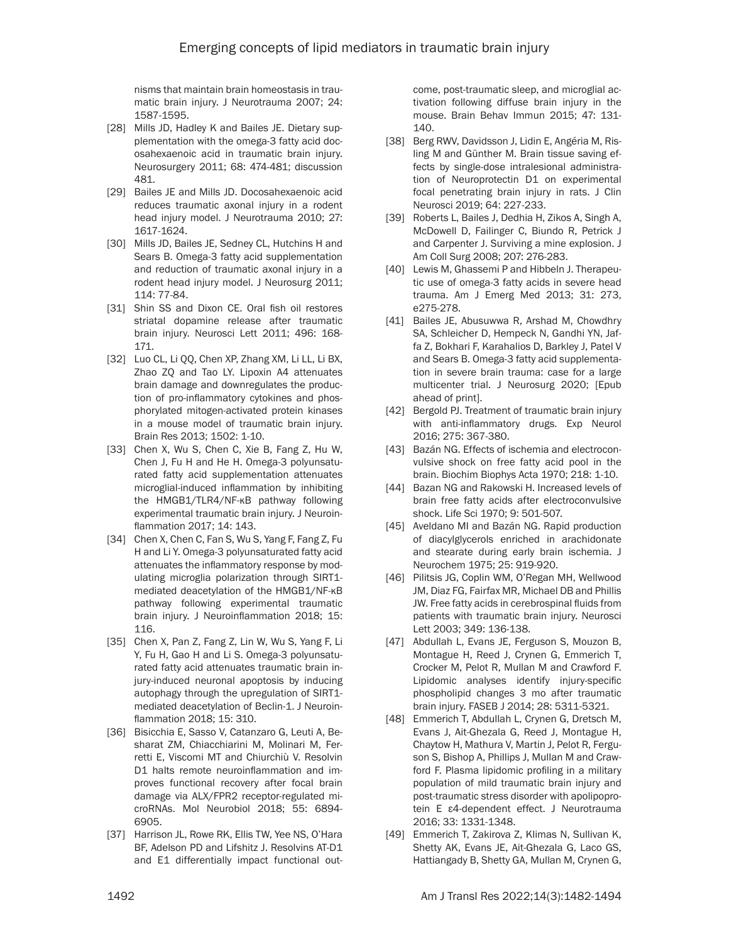nisms that maintain brain homeostasis in traumatic brain injury. J Neurotrauma 2007; 24: 1587-1595.

- [28] Mills JD, Hadley K and Bailes JE. Dietary supplementation with the omega-3 fatty acid docosahexaenoic acid in traumatic brain injury. Neurosurgery 2011; 68: 474-481; discussion 481.
- [29] Bailes JE and Mills JD. Docosahexaenoic acid reduces traumatic axonal injury in a rodent head injury model. J Neurotrauma 2010; 27: 1617-1624.
- [30] Mills JD, Bailes JE, Sedney CL, Hutchins H and Sears B. Omega-3 fatty acid supplementation and reduction of traumatic axonal injury in a rodent head injury model. J Neurosurg 2011; 114: 77-84.
- [31] Shin SS and Dixon CE. Oral fish oil restores striatal dopamine release after traumatic brain injury. Neurosci Lett 2011; 496: 168- 171.
- [32] Luo CL, Li QQ, Chen XP, Zhang XM, Li LL, Li BX, Zhao ZQ and Tao LY. Lipoxin A4 attenuates brain damage and downregulates the production of pro-inflammatory cytokines and phosphorylated mitogen-activated protein kinases in a mouse model of traumatic brain injury. Brain Res 2013; 1502: 1-10.
- [33] Chen X, Wu S, Chen C, Xie B, Fang Z, Hu W, Chen J, Fu H and He H. Omega-3 polyunsaturated fatty acid supplementation attenuates microglial-induced inflammation by inhibiting the HMGB1/TLR4/NF-κB pathway following experimental traumatic brain injury. J Neuroinflammation 2017; 14: 143.
- [34] Chen X, Chen C, Fan S, Wu S, Yang F, Fang Z, Fu H and Li Y. Omega-3 polyunsaturated fatty acid attenuates the inflammatory response by modulating microglia polarization through SIRT1 mediated deacetylation of the HMGB1/NF-κB pathway following experimental traumatic brain injury. J Neuroinflammation 2018; 15: 116.
- [35] Chen X, Pan Z, Fang Z, Lin W, Wu S, Yang F, Li Y, Fu H, Gao H and Li S. Omega-3 polyunsaturated fatty acid attenuates traumatic brain injury-induced neuronal apoptosis by inducing autophagy through the upregulation of SIRT1 mediated deacetylation of Beclin-1. J Neuroinflammation 2018; 15: 310.
- [36] Bisicchia E, Sasso V, Catanzaro G, Leuti A, Besharat ZM, Chiacchiarini M, Molinari M, Ferretti E, Viscomi MT and Chiurchiù V. Resolvin D1 halts remote neuroinflammation and improves functional recovery after focal brain damage via ALX/FPR2 receptor-regulated microRNAs. Mol Neurobiol 2018; 55: 6894- 6905.
- [37] Harrison JL, Rowe RK, Ellis TW, Yee NS, O'Hara BF, Adelson PD and Lifshitz J. Resolvins AT-D1 and E1 differentially impact functional out-

come, post-traumatic sleep, and microglial activation following diffuse brain injury in the mouse. Brain Behav Immun 2015; 47: 131- 140.

- [38] Berg RWV, Davidsson J, Lidin E, Angéria M, Risling M and Günther M. Brain tissue saving effects by single-dose intralesional administration of Neuroprotectin D1 on experimental focal penetrating brain injury in rats. J Clin Neurosci 2019; 64: 227-233.
- [39] Roberts L, Bailes J, Dedhia H, Zikos A, Singh A, McDowell D, Failinger C, Biundo R, Petrick J and Carpenter J. Surviving a mine explosion. J Am Coll Surg 2008; 207: 276-283.
- [40] Lewis M, Ghassemi P and Hibbeln J. Therapeutic use of omega-3 fatty acids in severe head trauma. Am J Emerg Med 2013; 31: 273, e275-278.
- [41] Bailes JE, Abusuwwa R, Arshad M, Chowdhry SA, Schleicher D, Hempeck N, Gandhi YN, Jaffa Z, Bokhari F, Karahalios D, Barkley J, Patel V and Sears B. Omega-3 fatty acid supplementation in severe brain trauma: case for a large multicenter trial. J Neurosurg 2020; [Epub ahead of print].
- [42] Bergold PJ. Treatment of traumatic brain injury with anti-inflammatory drugs. Exp Neurol 2016; 275: 367-380.
- [43] Bazán NG. Effects of ischemia and electroconvulsive shock on free fatty acid pool in the brain. Biochim Biophys Acta 1970; 218: 1-10.
- [44] Bazan NG and Rakowski H. Increased levels of brain free fatty acids after electroconvulsive shock. Life Sci 1970; 9: 501-507.
- [45] Aveldano MI and Bazán NG. Rapid production of diacylglycerols enriched in arachidonate and stearate during early brain ischemia. J Neurochem 1975; 25: 919-920.
- [46] Pilitsis JG, Coplin WM, O'Regan MH, Wellwood JM, Diaz FG, Fairfax MR, Michael DB and Phillis JW. Free fatty acids in cerebrospinal fluids from patients with traumatic brain injury. Neurosci Lett 2003; 349: 136-138.
- [47] Abdullah L, Evans JE, Ferguson S, Mouzon B, Montague H, Reed J, Crynen G, Emmerich T, Crocker M, Pelot R, Mullan M and Crawford F. Lipidomic analyses identify injury-specific phospholipid changes 3 mo after traumatic brain injury. FASEB J 2014; 28: 5311-5321.
- [48] Emmerich T, Abdullah L, Crynen G, Dretsch M, Evans J, Ait-Ghezala G, Reed J, Montague H, Chaytow H, Mathura V, Martin J, Pelot R, Ferguson S, Bishop A, Phillips J, Mullan M and Crawford F. Plasma lipidomic profiling in a military population of mild traumatic brain injury and post-traumatic stress disorder with apolipoprotein E ε4-dependent effect. J Neurotrauma 2016; 33: 1331-1348.
- [49] Emmerich T, Zakirova Z, Klimas N, Sullivan K, Shetty AK, Evans JE, Ait-Ghezala G, Laco GS, Hattiangady B, Shetty GA, Mullan M, Crynen G,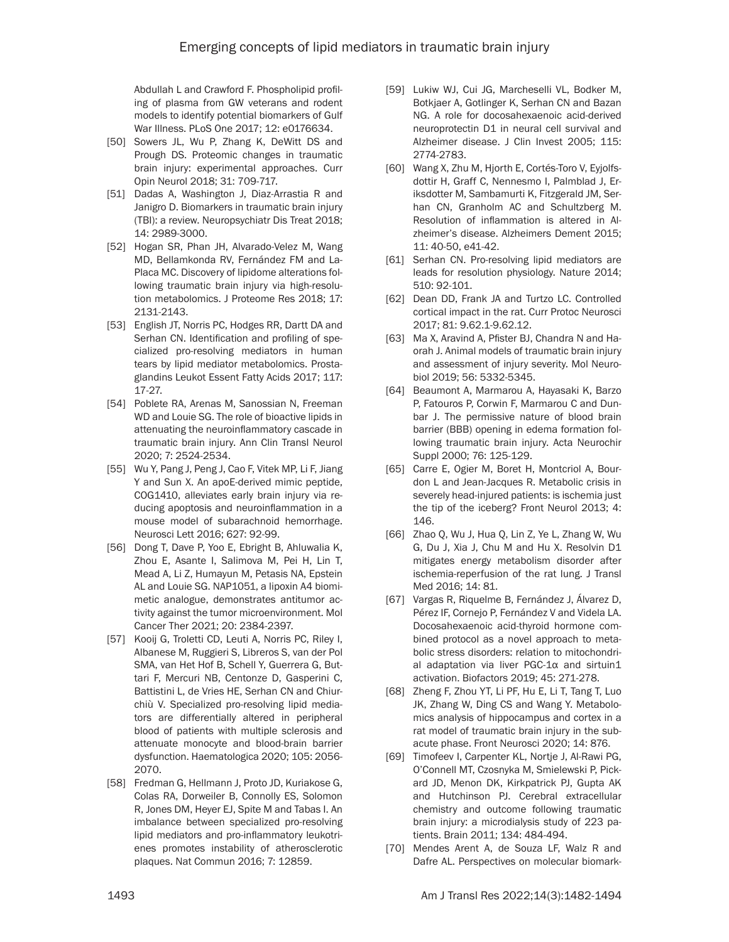Abdullah L and Crawford F. Phospholipid profiling of plasma from GW veterans and rodent models to identify potential biomarkers of Gulf War Illness. PLoS One 2017; 12: e0176634.

- [50] Sowers JL, Wu P, Zhang K, DeWitt DS and Prough DS. Proteomic changes in traumatic brain injury: experimental approaches. Curr Opin Neurol 2018; 31: 709-717.
- [51] Dadas A, Washington J, Diaz-Arrastia R and Janigro D. Biomarkers in traumatic brain injury (TBI): a review. Neuropsychiatr Dis Treat 2018; 14: 2989-3000.
- [52] Hogan SR, Phan JH, Alvarado-Velez M, Wang MD, Bellamkonda RV, Fernández FM and La-Placa MC. Discovery of lipidome alterations following traumatic brain injury via high-resolution metabolomics. J Proteome Res 2018; 17: 2131-2143.
- [53] English JT, Norris PC, Hodges RR, Dartt DA and Serhan CN. Identification and profiling of specialized pro-resolving mediators in human tears by lipid mediator metabolomics. Prostaglandins Leukot Essent Fatty Acids 2017; 117: 17-27.
- [54] Poblete RA, Arenas M, Sanossian N, Freeman WD and Louie SG. The role of bioactive lipids in attenuating the neuroinflammatory cascade in traumatic brain injury. Ann Clin Transl Neurol 2020; 7: 2524-2534.
- [55] Wu Y, Pang J, Peng J, Cao F, Vitek MP, Li F, Jiang Y and Sun X. An apoE-derived mimic peptide, COG1410, alleviates early brain injury via reducing apoptosis and neuroinflammation in a mouse model of subarachnoid hemorrhage. Neurosci Lett 2016; 627: 92-99.
- [56] Dong T, Dave P, Yoo E, Ebright B, Ahluwalia K, Zhou E, Asante I, Salimova M, Pei H, Lin T, Mead A, Li Z, Humayun M, Petasis NA, Epstein AL and Louie SG. NAP1051, a lipoxin A4 biomimetic analogue, demonstrates antitumor activity against the tumor microenvironment. Mol Cancer Ther 2021; 20: 2384-2397.
- [57] Kooij G, Troletti CD, Leuti A, Norris PC, Riley I, Albanese M, Ruggieri S, Libreros S, van der Pol SMA, van Het Hof B, Schell Y, Guerrera G, Buttari F, Mercuri NB, Centonze D, Gasperini C, Battistini L, de Vries HE, Serhan CN and Chiurchiù V. Specialized pro-resolving lipid mediators are differentially altered in peripheral blood of patients with multiple sclerosis and attenuate monocyte and blood-brain barrier dysfunction. Haematologica 2020; 105: 2056- 2070.
- [58] Fredman G, Hellmann J, Proto JD, Kuriakose G, Colas RA, Dorweiler B, Connolly ES, Solomon R, Jones DM, Heyer EJ, Spite M and Tabas I. An imbalance between specialized pro-resolving lipid mediators and pro-inflammatory leukotrienes promotes instability of atherosclerotic plaques. Nat Commun 2016; 7: 12859.
- [59] Lukiw WJ, Cui JG, Marcheselli VL, Bodker M, Botkjaer A, Gotlinger K, Serhan CN and Bazan NG. A role for docosahexaenoic acid-derived neuroprotectin D1 in neural cell survival and Alzheimer disease. J Clin Invest 2005; 115: 2774-2783.
- [60] Wang X, Zhu M, Hjorth E, Cortés-Toro V, Eyjolfsdottir H, Graff C, Nennesmo I, Palmblad J, Eriksdotter M, Sambamurti K, Fitzgerald JM, Serhan CN, Granholm AC and Schultzberg M. Resolution of inflammation is altered in Alzheimer's disease. Alzheimers Dement 2015; 11: 40-50, e41-42.
- [61] Serhan CN. Pro-resolving lipid mediators are leads for resolution physiology. Nature 2014; 510: 92-101.
- [62] Dean DD, Frank JA and Turtzo LC. Controlled cortical impact in the rat. Curr Protoc Neurosci 2017; 81: 9.62.1-9.62.12.
- [63] Ma X, Aravind A, Pfister BJ, Chandra N and Haorah J. Animal models of traumatic brain injury and assessment of injury severity. Mol Neurobiol 2019; 56: 5332-5345.
- [64] Beaumont A, Marmarou A, Hayasaki K, Barzo P, Fatouros P, Corwin F, Marmarou C and Dunbar J. The permissive nature of blood brain barrier (BBB) opening in edema formation following traumatic brain injury. Acta Neurochir Suppl 2000; 76: 125-129.
- [65] Carre E, Ogier M, Boret H, Montcriol A, Bourdon L and Jean-Jacques R. Metabolic crisis in severely head-injured patients: is ischemia just the tip of the iceberg? Front Neurol 2013; 4: 146.
- [66] Zhao Q, Wu J, Hua Q, Lin Z, Ye L, Zhang W, Wu G, Du J, Xia J, Chu M and Hu X. Resolvin D1 mitigates energy metabolism disorder after ischemia-reperfusion of the rat lung. J Transl Med 2016; 14: 81.
- [67] Vargas R, Riquelme B, Fernández J, Álvarez D, Pérez IF, Cornejo P, Fernández V and Videla LA. Docosahexaenoic acid-thyroid hormone combined protocol as a novel approach to metabolic stress disorders: relation to mitochondrial adaptation via liver PGC-1α and sirtuin1 activation. Biofactors 2019; 45: 271-278.
- [68] Zheng F, Zhou YT, Li PF, Hu E, Li T, Tang T, Luo JK, Zhang W, Ding CS and Wang Y. Metabolomics analysis of hippocampus and cortex in a rat model of traumatic brain injury in the subacute phase. Front Neurosci 2020; 14: 876.
- [69] Timofeev I, Carpenter KL, Nortje J, Al-Rawi PG, O'Connell MT, Czosnyka M, Smielewski P, Pickard JD, Menon DK, Kirkpatrick PJ, Gupta AK and Hutchinson PJ. Cerebral extracellular chemistry and outcome following traumatic brain injury: a microdialysis study of 223 patients. Brain 2011; 134: 484-494.
- [70] Mendes Arent A, de Souza LF, Walz R and Dafre AL. Perspectives on molecular biomark-